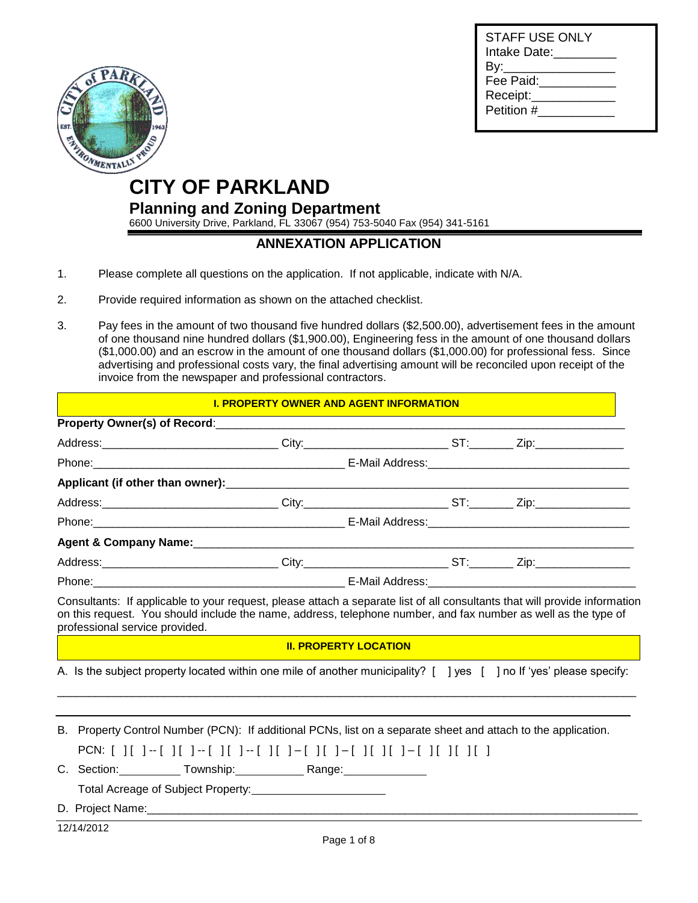| STAFF USE ONLY<br>Intake Date: _______ |  |
|----------------------------------------|--|
| By:_______________                     |  |
| Fee Paid:                              |  |
| Receipt:                               |  |
| Petition #                             |  |
|                                        |  |



# **CITY OF PARKLAND**

**Planning and Zoning Department**

6600 University Drive, Parkland, FL 33067 (954) 753-5040 Fax (954) 341-5161

### **ANNEXATION APPLICATION**

- 1. Please complete all questions on the application. If not applicable, indicate with N/A.
- 2. Provide required information as shown on the attached checklist.
- 3. Pay fees in the amount of two thousand five hundred dollars (\$2,500.00), advertisement fees in the amount of one thousand nine hundred dollars (\$1,900.00), Engineering fess in the amount of one thousand dollars (\$1,000.00) and an escrow in the amount of one thousand dollars (\$1,000.00) for professional fess. Since advertising and professional costs vary, the final advertising amount will be reconciled upon receipt of the invoice from the newspaper and professional contractors.

#### **I. PROPERTY OWNER AND AGENT INFORMATION**

|                                | Address:_______________________________City:_________________________ST:________ Zip:_______________                                                                                    |  |
|--------------------------------|-----------------------------------------------------------------------------------------------------------------------------------------------------------------------------------------|--|
|                                |                                                                                                                                                                                         |  |
|                                |                                                                                                                                                                                         |  |
|                                | Address:_______________________________City:__________________________ST:_________Zip:___________________                                                                               |  |
|                                |                                                                                                                                                                                         |  |
| professional service provided. | on this request. You should include the name, address, telephone number, and fax number as well as the type of<br><b>II. PROPERTY LOCATION</b>                                          |  |
|                                | A. Is the subject property located within one mile of another municipality? [ ] yes [ ] no If 'yes' please specify:                                                                     |  |
|                                | B. Property Control Number (PCN): If additional PCNs, list on a separate sheet and attach to the application.<br>PCN: [ ][ ]--[ ][ ]--[ ][ ]--[ ][ ]-[ ][ ]-[ ][ ]-[ ][ ][ ]-[ ][ ][ ][ |  |
|                                | C. Section: Township: Range: Range:                                                                                                                                                     |  |
|                                |                                                                                                                                                                                         |  |

12/14/2012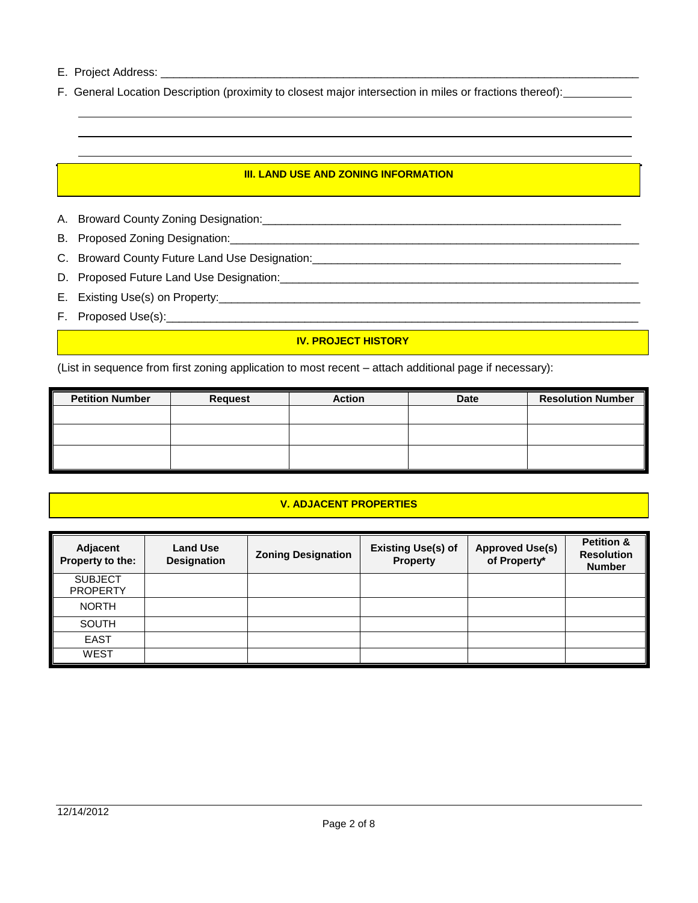E. Project Address: \_\_\_

F. General Location Description (proximity to closest major intersection in miles or fractions thereof):

### **III. LAND USE AND ZONING INFORMATION**

- A. Broward County Zoning Designation:\_\_\_\_\_\_\_\_\_\_\_\_\_\_\_\_\_\_\_\_\_\_\_\_\_\_\_\_\_\_\_\_\_\_\_\_\_\_\_\_\_\_\_\_\_\_\_\_\_\_\_\_\_\_\_\_\_
- B. Proposed Zoning Designation:
- C. Broward County Future Land Use Designation: \_\_\_\_\_\_\_\_\_\_\_\_\_\_\_\_\_\_\_\_\_\_\_\_\_\_\_\_\_\_\_\_\_
- D. Proposed Future Land Use Designation:\_\_\_\_\_\_\_\_\_\_\_\_\_\_\_\_\_\_\_\_\_\_\_\_\_\_\_\_\_\_\_\_\_\_\_\_\_\_\_\_\_\_\_\_\_\_\_\_\_\_\_\_\_\_\_\_\_
- E. Existing Use(s) on Property:\_\_\_\_\_\_\_\_\_\_\_\_\_\_\_\_\_\_\_\_\_\_\_\_\_\_\_\_\_\_\_\_\_\_\_\_\_\_\_\_\_\_\_\_\_\_\_\_\_\_\_\_\_\_\_\_\_\_\_\_\_\_\_\_\_\_\_
- F. Proposed Use(s):\_\_\_\_\_\_\_\_\_\_\_\_\_\_\_\_\_\_\_\_\_\_\_\_\_\_\_\_\_\_\_\_\_\_\_\_\_\_\_\_\_\_\_\_\_\_\_\_\_\_\_\_\_\_\_\_\_\_\_\_\_\_\_\_\_\_\_\_\_\_\_\_\_\_\_

### **IV. PROJECT HISTORY**

(List in sequence from first zoning application to most recent – attach additional page if necessary):

| <b>Petition Number</b> | <b>Request</b> | <b>Action</b> | <b>Date</b> | <b>Resolution Number</b> |
|------------------------|----------------|---------------|-------------|--------------------------|
|                        |                |               |             |                          |
|                        |                |               |             |                          |
|                        |                |               |             |                          |
|                        |                |               |             |                          |

#### **V. ADJACENT PROPERTIES**

| Adjacent<br>Property to the:      | <b>Land Use</b><br><b>Designation</b> | <b>Zoning Designation</b> | <b>Existing Use(s) of</b><br><b>Property</b> | <b>Approved Use(s)</b><br>of Property* | <b>Petition &amp;</b><br><b>Resolution</b><br><b>Number</b> |
|-----------------------------------|---------------------------------------|---------------------------|----------------------------------------------|----------------------------------------|-------------------------------------------------------------|
| <b>SUBJECT</b><br><b>PROPERTY</b> |                                       |                           |                                              |                                        |                                                             |
| <b>NORTH</b>                      |                                       |                           |                                              |                                        |                                                             |
| <b>SOUTH</b>                      |                                       |                           |                                              |                                        |                                                             |
| <b>EAST</b>                       |                                       |                           |                                              |                                        |                                                             |
| <b>WEST</b>                       |                                       |                           |                                              |                                        |                                                             |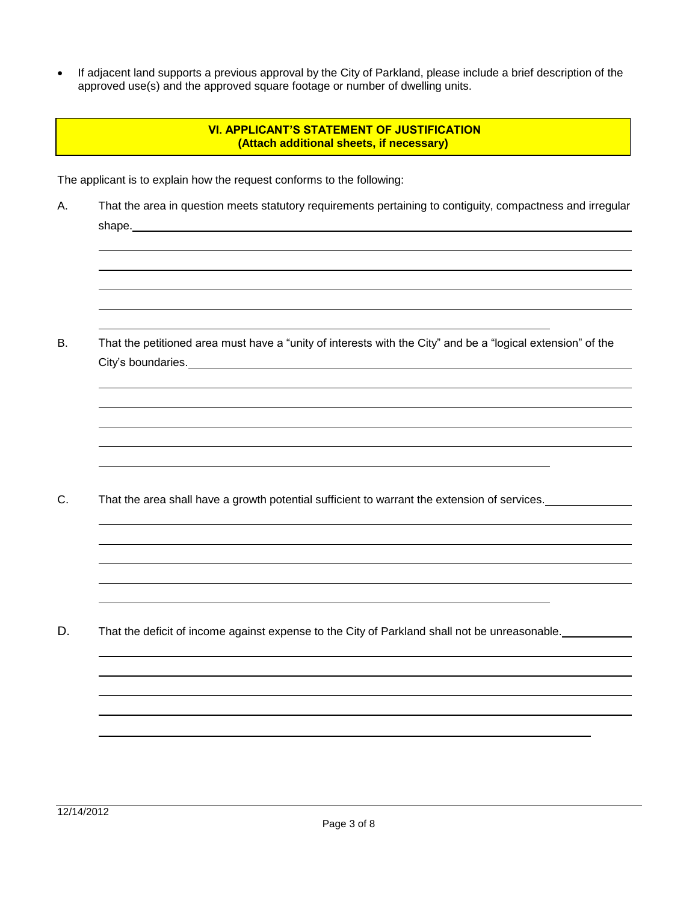If adjacent land supports a previous approval by the City of Parkland, please include a brief description of the approved use(s) and the approved square footage or number of dwelling units.

### **VI. APPLICANT'S STATEMENT OF JUSTIFICATION (Attach additional sheets, if necessary)**

The applicant is to explain how the request conforms to the following:

A. That the area in question meets statutory requirements pertaining to contiguity, compactness and irregular shape.

B. That the petitioned area must have a "unity of interests with the City" and be a "logical extension" of the City's boundaries.

C. That the area shall have a growth potential sufficient to warrant the extension of services.

D. That the deficit of income against expense to the City of Parkland shall not be unreasonable.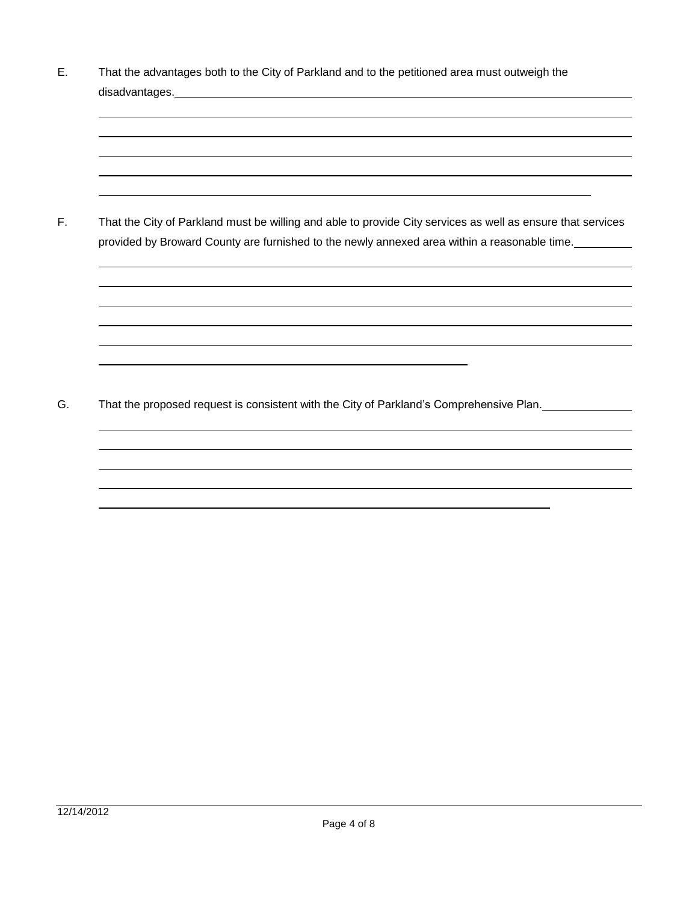E. That the advantages both to the City of Parkland and to the petitioned area must outweigh the disadvantages.

F. That the City of Parkland must be willing and able to provide City services as well as ensure that services provided by Broward County are furnished to the newly annexed area within a reasonable time.

G. That the proposed request is consistent with the City of Parkland's Comprehensive Plan.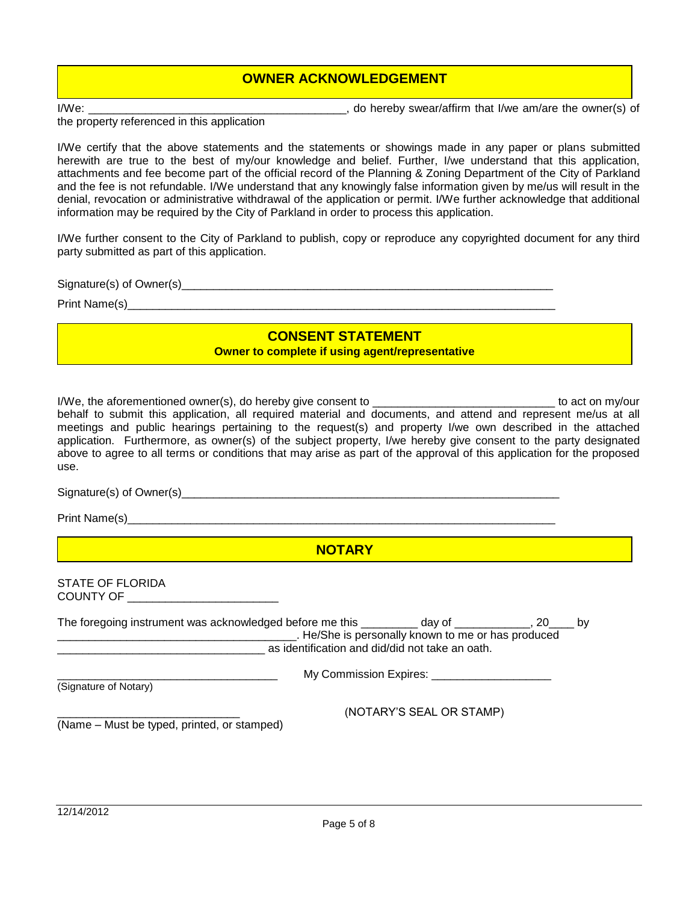## **OWNER ACKNOWLEDGEMENT**

I/We: \_\_\_\_\_\_\_\_\_\_\_\_\_\_\_\_\_\_\_\_\_\_\_\_\_\_\_\_\_\_\_\_\_\_\_\_\_\_\_\_\_, do hereby swear/affirm that I/we am/are the owner(s) of

the property referenced in this application

I/We certify that the above statements and the statements or showings made in any paper or plans submitted herewith are true to the best of my/our knowledge and belief. Further, I/we understand that this application, attachments and fee become part of the official record of the Planning & Zoning Department of the City of Parkland and the fee is not refundable. I/We understand that any knowingly false information given by me/us will result in the denial, revocation or administrative withdrawal of the application or permit. I/We further acknowledge that additional information may be required by the City of Parkland in order to process this application.

I/We further consent to the City of Parkland to publish, copy or reproduce any copyrighted document for any third party submitted as part of this application.

Signature(s) of Owner(s)\_\_\_\_\_\_\_\_\_\_\_\_\_\_\_\_\_\_\_\_\_\_\_\_\_\_\_\_\_\_\_\_\_\_\_\_\_\_\_\_\_\_\_\_\_\_\_\_\_\_\_\_\_\_\_\_\_\_\_

Print Name(s) example of the state of  $\Gamma$  and  $\Gamma$  and  $\Gamma$  and  $\Gamma$  and  $\Gamma$  and  $\Gamma$  and  $\Gamma$  and  $\Gamma$  and  $\Gamma$  and  $\Gamma$  and  $\Gamma$  and  $\Gamma$  and  $\Gamma$  and  $\Gamma$  and  $\Gamma$  and  $\Gamma$  and  $\Gamma$  and  $\Gamma$  and  $\Gamma$  and  $\Gamma$  and  $\Gamma$ 

## **CONSENT STATEMENT**

**Complete if using agent/representative** 

I/We, the aforementioned owner(s), do hereby give consent to \_\_\_\_\_\_\_\_\_\_\_\_\_\_\_\_\_\_\_\_\_\_\_\_\_\_\_\_\_ to act on my/our behalf to submit this application, all required material and documents, and attend and represent me/us at all meetings and public hearings pertaining to the request(s) and property I/we own described in the attached application. Furthermore, as owner(s) of the subject property, I/we hereby give consent to the party designated above to agree to all terms or conditions that may arise as part of the approval of this application for the proposed use.

Signature(s) of Owner(s)

Print Name(s)

**NOTARY**

STATE OF FLORIDA COUNTY OF \_\_\_\_\_\_\_\_\_\_\_\_\_\_\_\_\_\_\_\_\_\_\_\_

| The foregoing instrument was acknowledged before me this | dav of                                             |  |
|----------------------------------------------------------|----------------------------------------------------|--|
|                                                          | . He/She is personally known to me or has produced |  |
|                                                          | as identification and did/did not take an oath.    |  |
|                                                          |                                                    |  |

(Signature of Notary)

My Commission Expires: **Expires**:  $\frac{1}{2}$ 

\_\_\_\_\_\_\_\_\_\_\_\_\_\_\_\_\_\_\_\_\_\_\_\_\_\_\_\_\_ (NOTARY'S SEAL OR STAMP)

(Name – Must be typed, printed, or stamped)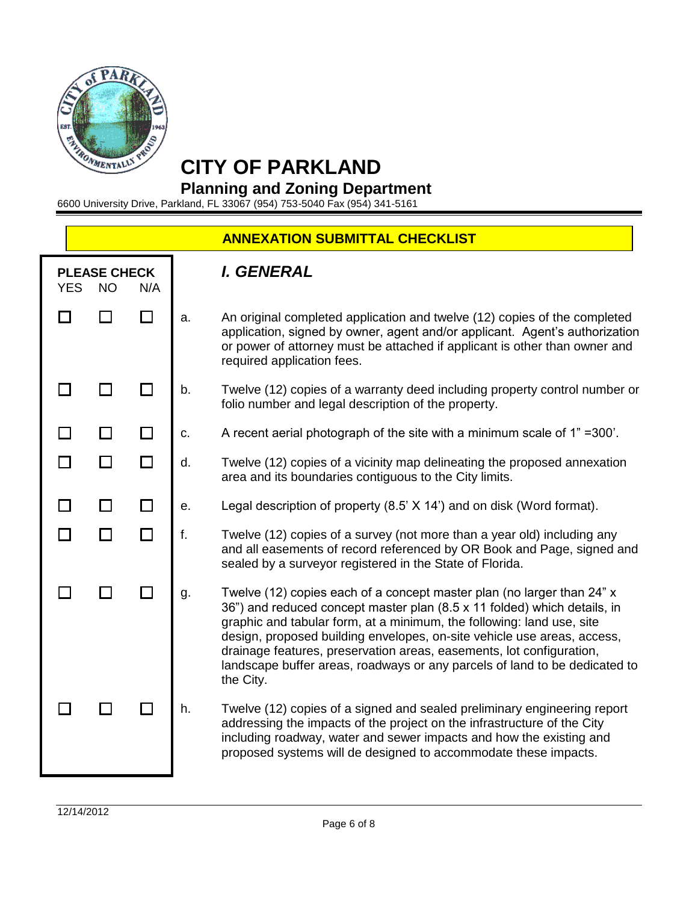

## **CITY OF PARKLAND**

## **Planning and Zoning Department**

6600 University Drive, Parkland, FL 33067 (954) 753-5040 Fax (954) 341-5161

|            |                                  |     |    | <b>ANNEXATION SUBMITTAL CHECKLIST</b>                                                                                                                                                                                                                                                                                                                                                                                                                                     |
|------------|----------------------------------|-----|----|---------------------------------------------------------------------------------------------------------------------------------------------------------------------------------------------------------------------------------------------------------------------------------------------------------------------------------------------------------------------------------------------------------------------------------------------------------------------------|
| <b>YES</b> | <b>PLEASE CHECK</b><br><b>NO</b> | N/A |    | I. GENERAL                                                                                                                                                                                                                                                                                                                                                                                                                                                                |
|            |                                  |     | a. | An original completed application and twelve (12) copies of the completed<br>application, signed by owner, agent and/or applicant. Agent's authorization<br>or power of attorney must be attached if applicant is other than owner and<br>required application fees.                                                                                                                                                                                                      |
|            |                                  |     | b. | Twelve (12) copies of a warranty deed including property control number or<br>folio number and legal description of the property.                                                                                                                                                                                                                                                                                                                                         |
|            |                                  |     | c. | A recent aerial photograph of the site with a minimum scale of 1" = 300'.                                                                                                                                                                                                                                                                                                                                                                                                 |
|            |                                  |     | d. | Twelve (12) copies of a vicinity map delineating the proposed annexation<br>area and its boundaries contiguous to the City limits.                                                                                                                                                                                                                                                                                                                                        |
|            |                                  |     | е. | Legal description of property (8.5' X 14') and on disk (Word format).                                                                                                                                                                                                                                                                                                                                                                                                     |
|            |                                  |     | f. | Twelve (12) copies of a survey (not more than a year old) including any<br>and all easements of record referenced by OR Book and Page, signed and<br>sealed by a surveyor registered in the State of Florida.                                                                                                                                                                                                                                                             |
|            |                                  |     | g. | Twelve (12) copies each of a concept master plan (no larger than 24" x<br>36") and reduced concept master plan (8.5 x 11 folded) which details, in<br>graphic and tabular form, at a minimum, the following: land use, site<br>design, proposed building envelopes, on-site vehicle use areas, access,<br>drainage features, preservation areas, easements, lot configuration,<br>landscape buffer areas, roadways or any parcels of land to be dedicated to<br>the City. |
|            |                                  |     | h. | Twelve (12) copies of a signed and sealed preliminary engineering report<br>addressing the impacts of the project on the infrastructure of the City<br>including roadway, water and sewer impacts and how the existing and<br>proposed systems will de designed to accommodate these impacts.                                                                                                                                                                             |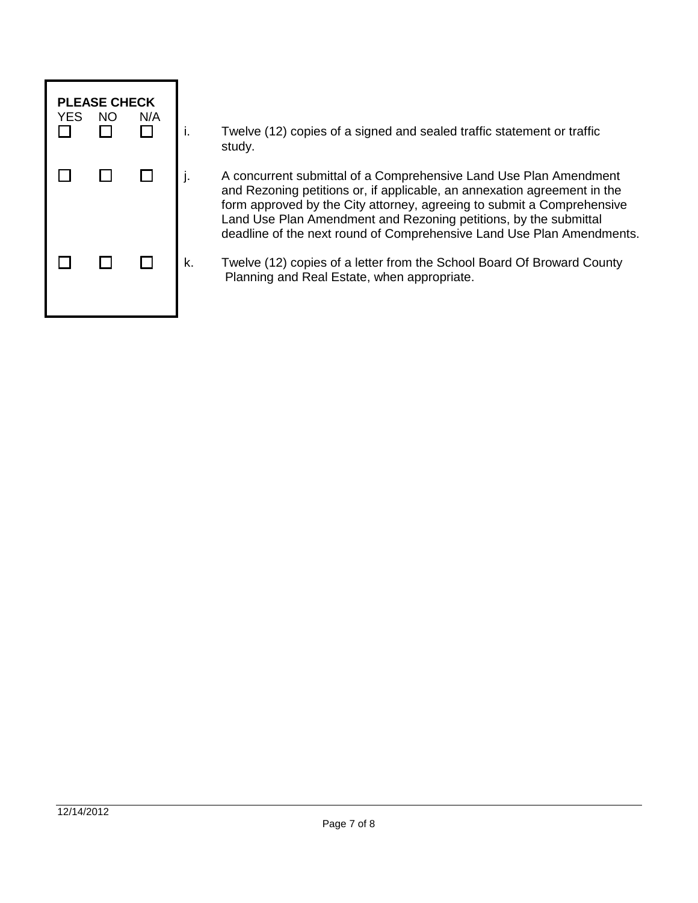

i. Twelve (12) copies of a signed and sealed traffic statement or traffic study.

j. A concurrent submittal of a Comprehensive Land Use Plan Amendment and Rezoning petitions or, if applicable, an annexation agreement in the form approved by the City attorney, agreeing to submit a Comprehensive Land Use Plan Amendment and Rezoning petitions, by the submittal deadline of the next round of Comprehensive Land Use Plan Amendments.

k. Twelve (12) copies of a letter from the School Board Of Broward County Planning and Real Estate, when appropriate.